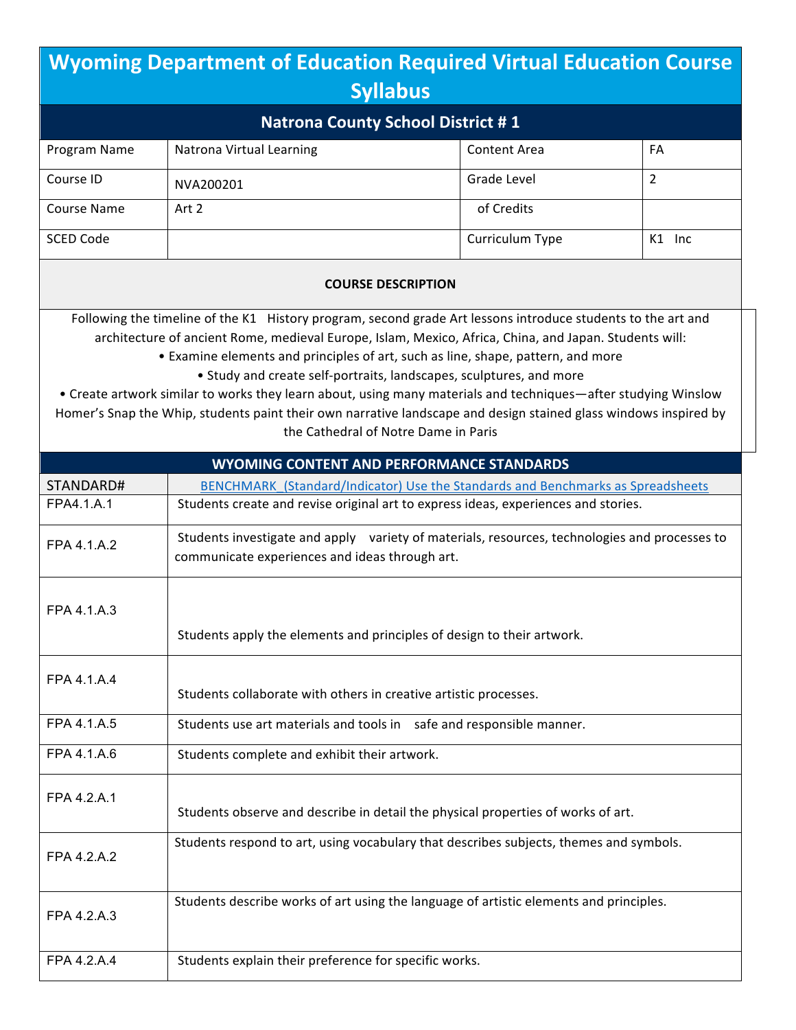| <b>Wyoming Department of Education Required Virtual Education Course</b>                                                                                                                                                                                                                                                                                                                                                                                                                                                                                                                                                                                        |                                                                                                                                                 |                     |                |  |
|-----------------------------------------------------------------------------------------------------------------------------------------------------------------------------------------------------------------------------------------------------------------------------------------------------------------------------------------------------------------------------------------------------------------------------------------------------------------------------------------------------------------------------------------------------------------------------------------------------------------------------------------------------------------|-------------------------------------------------------------------------------------------------------------------------------------------------|---------------------|----------------|--|
| <b>Syllabus</b>                                                                                                                                                                                                                                                                                                                                                                                                                                                                                                                                                                                                                                                 |                                                                                                                                                 |                     |                |  |
| <b>Natrona County School District #1</b>                                                                                                                                                                                                                                                                                                                                                                                                                                                                                                                                                                                                                        |                                                                                                                                                 |                     |                |  |
| Program Name                                                                                                                                                                                                                                                                                                                                                                                                                                                                                                                                                                                                                                                    | Natrona Virtual Learning                                                                                                                        | <b>Content Area</b> | FA             |  |
| Course ID                                                                                                                                                                                                                                                                                                                                                                                                                                                                                                                                                                                                                                                       | NVA200201                                                                                                                                       | Grade Level         | $\overline{2}$ |  |
| <b>Course Name</b>                                                                                                                                                                                                                                                                                                                                                                                                                                                                                                                                                                                                                                              | Art 2                                                                                                                                           | of Credits          |                |  |
| <b>SCED Code</b>                                                                                                                                                                                                                                                                                                                                                                                                                                                                                                                                                                                                                                                |                                                                                                                                                 | Curriculum Type     | $K1$ Inc       |  |
|                                                                                                                                                                                                                                                                                                                                                                                                                                                                                                                                                                                                                                                                 | <b>COURSE DESCRIPTION</b>                                                                                                                       |                     |                |  |
| Following the timeline of the K1 History program, second grade Art lessons introduce students to the art and<br>architecture of ancient Rome, medieval Europe, Islam, Mexico, Africa, China, and Japan. Students will:<br>• Examine elements and principles of art, such as line, shape, pattern, and more<br>• Study and create self-portraits, landscapes, sculptures, and more<br>• Create artwork similar to works they learn about, using many materials and techniques—after studying Winslow<br>Homer's Snap the Whip, students paint their own narrative landscape and design stained glass windows inspired by<br>the Cathedral of Notre Dame in Paris |                                                                                                                                                 |                     |                |  |
|                                                                                                                                                                                                                                                                                                                                                                                                                                                                                                                                                                                                                                                                 | <b>WYOMING CONTENT AND PERFORMANCE STANDARDS</b>                                                                                                |                     |                |  |
| STANDARD#                                                                                                                                                                                                                                                                                                                                                                                                                                                                                                                                                                                                                                                       | BENCHMARK (Standard/Indicator) Use the Standards and Benchmarks as Spreadsheets                                                                 |                     |                |  |
| FPA4.1.A.1                                                                                                                                                                                                                                                                                                                                                                                                                                                                                                                                                                                                                                                      | Students create and revise original art to express ideas, experiences and stories.                                                              |                     |                |  |
| FPA 4.1.A.2                                                                                                                                                                                                                                                                                                                                                                                                                                                                                                                                                                                                                                                     | Students investigate and apply variety of materials, resources, technologies and processes to<br>communicate experiences and ideas through art. |                     |                |  |
| FPA 4.1.A.3                                                                                                                                                                                                                                                                                                                                                                                                                                                                                                                                                                                                                                                     | Students apply the elements and principles of design to their artwork.                                                                          |                     |                |  |
| FPA 4.1.A.4                                                                                                                                                                                                                                                                                                                                                                                                                                                                                                                                                                                                                                                     | Students collaborate with others in creative artistic processes.                                                                                |                     |                |  |
| FPA 4.1.A.5                                                                                                                                                                                                                                                                                                                                                                                                                                                                                                                                                                                                                                                     | Students use art materials and tools in safe and responsible manner.                                                                            |                     |                |  |
| FPA 4.1.A.6                                                                                                                                                                                                                                                                                                                                                                                                                                                                                                                                                                                                                                                     | Students complete and exhibit their artwork.                                                                                                    |                     |                |  |
| FPA 4.2.A.1                                                                                                                                                                                                                                                                                                                                                                                                                                                                                                                                                                                                                                                     | Students observe and describe in detail the physical properties of works of art.                                                                |                     |                |  |
| FPA 4.2.A.2                                                                                                                                                                                                                                                                                                                                                                                                                                                                                                                                                                                                                                                     | Students respond to art, using vocabulary that describes subjects, themes and symbols.                                                          |                     |                |  |
| FPA 4.2.A.3                                                                                                                                                                                                                                                                                                                                                                                                                                                                                                                                                                                                                                                     | Students describe works of art using the language of artistic elements and principles.                                                          |                     |                |  |
| FPA 4.2.A.4                                                                                                                                                                                                                                                                                                                                                                                                                                                                                                                                                                                                                                                     | Students explain their preference for specific works.                                                                                           |                     |                |  |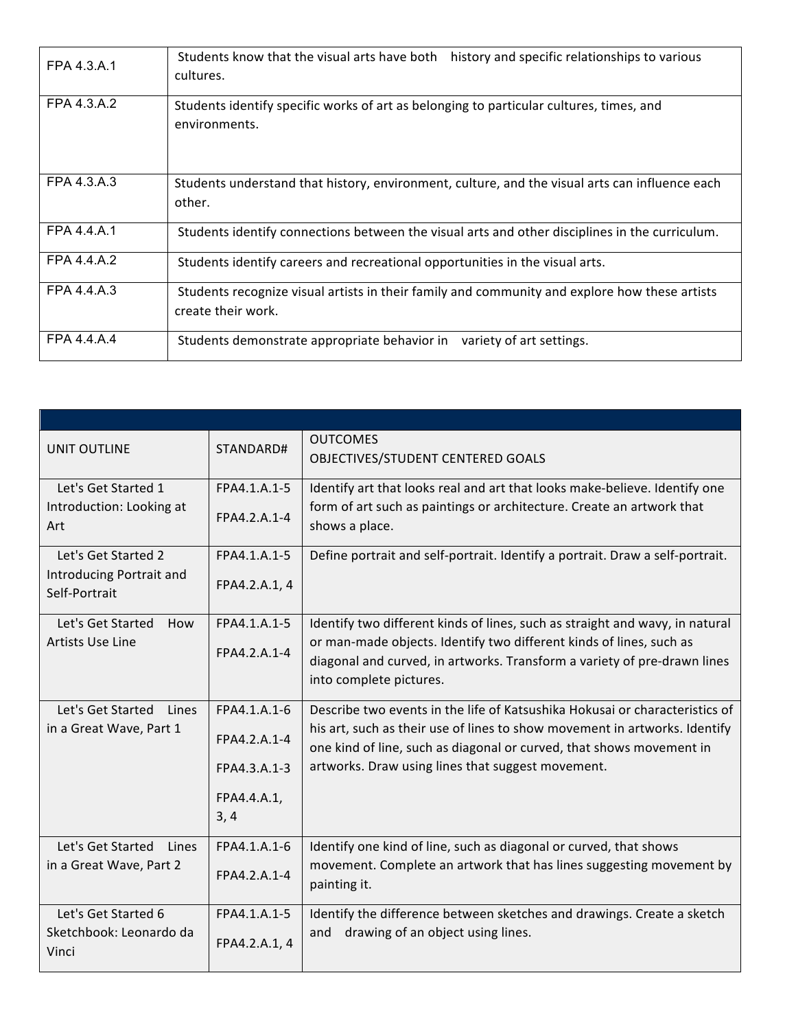| FPA 4.3.A.1 | Students know that the visual arts have both<br>history and specific relationships to various<br>cultures.          |
|-------------|---------------------------------------------------------------------------------------------------------------------|
| FPA 4.3.A.2 | Students identify specific works of art as belonging to particular cultures, times, and<br>environments.            |
| FPA 4.3.A.3 | Students understand that history, environment, culture, and the visual arts can influence each<br>other.            |
| FPA 4.4.A.1 | Students identify connections between the visual arts and other disciplines in the curriculum.                      |
| FPA 4.4.A.2 | Students identify careers and recreational opportunities in the visual arts.                                        |
| FPA 4.4.A.3 | Students recognize visual artists in their family and community and explore how these artists<br>create their work. |
| FPA 4.4.A.4 | Students demonstrate appropriate behavior in variety of art settings.                                               |

| <b>UNIT OUTLINE</b>                                              | STANDARD#                                                           | <b>OUTCOMES</b><br>OBJECTIVES/STUDENT CENTERED GOALS                                                                                                                                                                                                                                   |
|------------------------------------------------------------------|---------------------------------------------------------------------|----------------------------------------------------------------------------------------------------------------------------------------------------------------------------------------------------------------------------------------------------------------------------------------|
| Let's Get Started 1<br>Introduction: Looking at<br>Art           | FPA4.1.A.1-5<br>FPA4.2.A.1-4                                        | Identify art that looks real and art that looks make-believe. Identify one<br>form of art such as paintings or architecture. Create an artwork that<br>shows a place.                                                                                                                  |
| Let's Get Started 2<br>Introducing Portrait and<br>Self-Portrait | FPA4.1.A.1-5<br>FPA4.2.A.1, 4                                       | Define portrait and self-portrait. Identify a portrait. Draw a self-portrait.                                                                                                                                                                                                          |
| Let's Get Started<br>How<br>Artists Use Line                     | FPA4.1.A.1-5<br>FPA4.2.A.1-4                                        | Identify two different kinds of lines, such as straight and wavy, in natural<br>or man-made objects. Identify two different kinds of lines, such as<br>diagonal and curved, in artworks. Transform a variety of pre-drawn lines<br>into complete pictures.                             |
| Let's Get Started<br>Lines<br>in a Great Wave, Part 1            | FPA4.1.A.1-6<br>FPA4.2.A.1-4<br>FPA4.3.A.1-3<br>FPA4.4.A.1,<br>3, 4 | Describe two events in the life of Katsushika Hokusai or characteristics of<br>his art, such as their use of lines to show movement in artworks. Identify<br>one kind of line, such as diagonal or curved, that shows movement in<br>artworks. Draw using lines that suggest movement. |
| Let's Get Started<br>Lines<br>in a Great Wave, Part 2            | FPA4.1.A.1-6<br>FPA4.2.A.1-4                                        | Identify one kind of line, such as diagonal or curved, that shows<br>movement. Complete an artwork that has lines suggesting movement by<br>painting it.                                                                                                                               |
| Let's Get Started 6<br>Sketchbook: Leonardo da<br>Vinci          | FPA4.1.A.1-5<br>FPA4.2.A.1, 4                                       | Identify the difference between sketches and drawings. Create a sketch<br>drawing of an object using lines.<br>and                                                                                                                                                                     |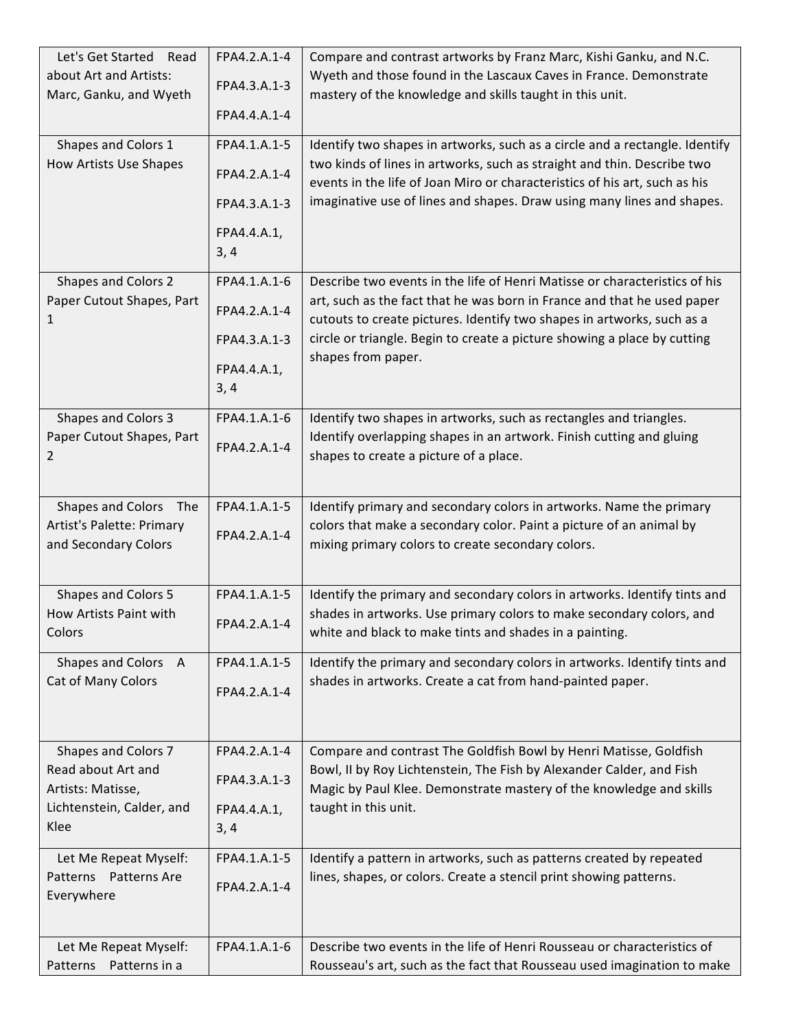| Let's Get Started<br>Read<br>about Art and Artists:<br>Marc, Ganku, and Wyeth<br>Shapes and Colors 1<br>How Artists Use Shapes | FPA4.2.A.1-4<br>FPA4.3.A.1-3<br>FPA4.4.A.1-4<br>FPA4.1.A.1-5<br>FPA4.2.A.1-4<br>FPA4.3.A.1-3<br>FPA4.4.A.1,<br>3,4 | Compare and contrast artworks by Franz Marc, Kishi Ganku, and N.C.<br>Wyeth and those found in the Lascaux Caves in France. Demonstrate<br>mastery of the knowledge and skills taught in this unit.<br>Identify two shapes in artworks, such as a circle and a rectangle. Identify<br>two kinds of lines in artworks, such as straight and thin. Describe two<br>events in the life of Joan Miro or characteristics of his art, such as his<br>imaginative use of lines and shapes. Draw using many lines and shapes. |
|--------------------------------------------------------------------------------------------------------------------------------|--------------------------------------------------------------------------------------------------------------------|-----------------------------------------------------------------------------------------------------------------------------------------------------------------------------------------------------------------------------------------------------------------------------------------------------------------------------------------------------------------------------------------------------------------------------------------------------------------------------------------------------------------------|
| Shapes and Colors 2<br>Paper Cutout Shapes, Part<br>1                                                                          | FPA4.1.A.1-6<br>FPA4.2.A.1-4<br>FPA4.3.A.1-3<br>FPA4.4.A.1,<br>3, 4                                                | Describe two events in the life of Henri Matisse or characteristics of his<br>art, such as the fact that he was born in France and that he used paper<br>cutouts to create pictures. Identify two shapes in artworks, such as a<br>circle or triangle. Begin to create a picture showing a place by cutting<br>shapes from paper.                                                                                                                                                                                     |
| Shapes and Colors 3<br>Paper Cutout Shapes, Part<br>2                                                                          | FPA4.1.A.1-6<br>FPA4.2.A.1-4                                                                                       | Identify two shapes in artworks, such as rectangles and triangles.<br>Identify overlapping shapes in an artwork. Finish cutting and gluing<br>shapes to create a picture of a place.                                                                                                                                                                                                                                                                                                                                  |
| Shapes and Colors The<br><b>Artist's Palette: Primary</b><br>and Secondary Colors                                              | FPA4.1.A.1-5<br>FPA4.2.A.1-4                                                                                       | Identify primary and secondary colors in artworks. Name the primary<br>colors that make a secondary color. Paint a picture of an animal by<br>mixing primary colors to create secondary colors.                                                                                                                                                                                                                                                                                                                       |
| Shapes and Colors 5<br>How Artists Paint with<br>Colors                                                                        | FPA4.1.A.1-5<br>FPA4.2.A.1-4                                                                                       | Identify the primary and secondary colors in artworks. Identify tints and<br>shades in artworks. Use primary colors to make secondary colors, and<br>white and black to make tints and shades in a painting.                                                                                                                                                                                                                                                                                                          |
| Shapes and Colors A<br>Cat of Many Colors                                                                                      | FPA4.1.A.1-5<br>FPA4.2.A.1-4                                                                                       | Identify the primary and secondary colors in artworks. Identify tints and<br>shades in artworks. Create a cat from hand-painted paper.                                                                                                                                                                                                                                                                                                                                                                                |
| Shapes and Colors 7<br>Read about Art and<br>Artists: Matisse,<br>Lichtenstein, Calder, and<br>Klee                            | FPA4.2.A.1-4<br>FPA4.3.A.1-3<br>FPA4.4.A.1,<br>3, 4                                                                | Compare and contrast The Goldfish Bowl by Henri Matisse, Goldfish<br>Bowl, II by Roy Lichtenstein, The Fish by Alexander Calder, and Fish<br>Magic by Paul Klee. Demonstrate mastery of the knowledge and skills<br>taught in this unit.                                                                                                                                                                                                                                                                              |
| Let Me Repeat Myself:<br>Patterns Patterns Are<br>Everywhere                                                                   | FPA4.1.A.1-5<br>FPA4.2.A.1-4                                                                                       | Identify a pattern in artworks, such as patterns created by repeated<br>lines, shapes, or colors. Create a stencil print showing patterns.                                                                                                                                                                                                                                                                                                                                                                            |
| Let Me Repeat Myself:<br>Patterns Patterns in a                                                                                | FPA4.1.A.1-6                                                                                                       | Describe two events in the life of Henri Rousseau or characteristics of<br>Rousseau's art, such as the fact that Rousseau used imagination to make                                                                                                                                                                                                                                                                                                                                                                    |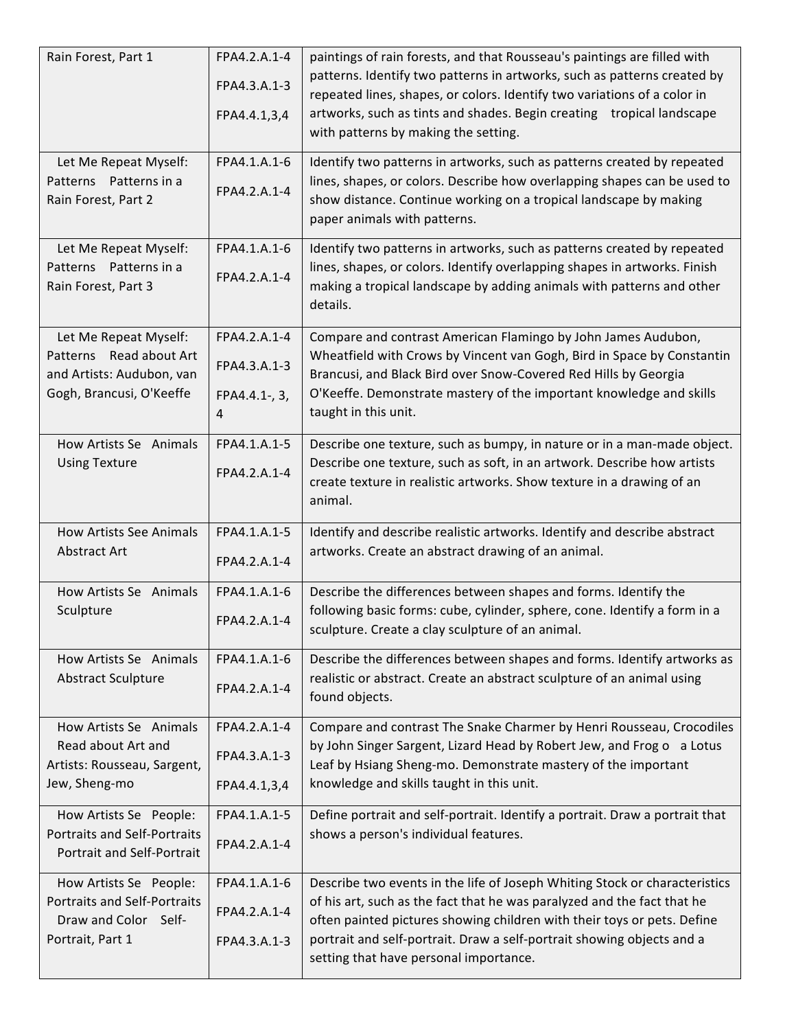| Rain Forest, Part 1                          | FPA4.2.A.1-4       | paintings of rain forests, and that Rousseau's paintings are filled with                                                                     |
|----------------------------------------------|--------------------|----------------------------------------------------------------------------------------------------------------------------------------------|
|                                              | FPA4.3.A.1-3       | patterns. Identify two patterns in artworks, such as patterns created by                                                                     |
|                                              |                    | repeated lines, shapes, or colors. Identify two variations of a color in                                                                     |
|                                              | FPA4.4.1,3,4       | artworks, such as tints and shades. Begin creating tropical landscape<br>with patterns by making the setting.                                |
|                                              |                    |                                                                                                                                              |
| Let Me Repeat Myself:                        | FPA4.1.A.1-6       | Identify two patterns in artworks, such as patterns created by repeated                                                                      |
| Patterns Patterns in a                       | FPA4.2.A.1-4       | lines, shapes, or colors. Describe how overlapping shapes can be used to                                                                     |
| Rain Forest, Part 2                          |                    | show distance. Continue working on a tropical landscape by making<br>paper animals with patterns.                                            |
|                                              |                    |                                                                                                                                              |
| Let Me Repeat Myself:                        | FPA4.1.A.1-6       | Identify two patterns in artworks, such as patterns created by repeated                                                                      |
| Patterns Patterns in a                       | FPA4.2.A.1-4       | lines, shapes, or colors. Identify overlapping shapes in artworks. Finish                                                                    |
| Rain Forest, Part 3                          |                    | making a tropical landscape by adding animals with patterns and other<br>details.                                                            |
|                                              |                    |                                                                                                                                              |
| Let Me Repeat Myself:                        | FPA4.2.A.1-4       | Compare and contrast American Flamingo by John James Audubon,                                                                                |
| Patterns Read about Art                      | FPA4.3.A.1-3       | Wheatfield with Crows by Vincent van Gogh, Bird in Space by Constantin                                                                       |
| and Artists: Audubon, van                    |                    | Brancusi, and Black Bird over Snow-Covered Red Hills by Georgia                                                                              |
| Gogh, Brancusi, O'Keeffe                     | FPA4.4.1-, 3,<br>4 | O'Keeffe. Demonstrate mastery of the important knowledge and skills<br>taught in this unit.                                                  |
|                                              |                    |                                                                                                                                              |
| How Artists Se Animals                       | FPA4.1.A.1-5       | Describe one texture, such as bumpy, in nature or in a man-made object.                                                                      |
| <b>Using Texture</b>                         | FPA4.2.A.1-4       | Describe one texture, such as soft, in an artwork. Describe how artists                                                                      |
|                                              |                    | create texture in realistic artworks. Show texture in a drawing of an<br>animal.                                                             |
|                                              |                    |                                                                                                                                              |
| <b>How Artists See Animals</b>               | FPA4.1.A.1-5       | Identify and describe realistic artworks. Identify and describe abstract                                                                     |
| Abstract Art                                 | FPA4.2.A.1-4       | artworks. Create an abstract drawing of an animal.                                                                                           |
|                                              |                    |                                                                                                                                              |
| How Artists Se Animals<br>Sculpture          | FPA4.1.A.1-6       | Describe the differences between shapes and forms. Identify the<br>following basic forms: cube, cylinder, sphere, cone. Identify a form in a |
|                                              | FPA4.2.A.1-4       | sculpture. Create a clay sculpture of an animal.                                                                                             |
|                                              |                    |                                                                                                                                              |
| How Artists Se Animals                       | FPA4.1.A.1-6       | Describe the differences between shapes and forms. Identify artworks as                                                                      |
| <b>Abstract Sculpture</b>                    | FPA4.2.A.1-4       | realistic or abstract. Create an abstract sculpture of an animal using<br>found objects.                                                     |
|                                              |                    |                                                                                                                                              |
| How Artists Se Animals                       | FPA4.2.A.1-4       | Compare and contrast The Snake Charmer by Henri Rousseau, Crocodiles                                                                         |
| Read about Art and                           | FPA4.3.A.1-3       | by John Singer Sargent, Lizard Head by Robert Jew, and Frog o a Lotus                                                                        |
| Artists: Rousseau, Sargent,<br>Jew, Sheng-mo | FPA4.4.1,3,4       | Leaf by Hsiang Sheng-mo. Demonstrate mastery of the important<br>knowledge and skills taught in this unit.                                   |
|                                              |                    |                                                                                                                                              |
| How Artists Se People:                       | FPA4.1.A.1-5       | Define portrait and self-portrait. Identify a portrait. Draw a portrait that                                                                 |
| <b>Portraits and Self-Portraits</b>          | FPA4.2.A.1-4       | shows a person's individual features.                                                                                                        |
| Portrait and Self-Portrait                   |                    |                                                                                                                                              |
| How Artists Se People:                       | FPA4.1.A.1-6       | Describe two events in the life of Joseph Whiting Stock or characteristics                                                                   |
| <b>Portraits and Self-Portraits</b>          | FPA4.2.A.1-4       | of his art, such as the fact that he was paralyzed and the fact that he                                                                      |
| Draw and Color Self-                         |                    | often painted pictures showing children with their toys or pets. Define                                                                      |
| Portrait, Part 1                             | FPA4.3.A.1-3       | portrait and self-portrait. Draw a self-portrait showing objects and a<br>setting that have personal importance.                             |
|                                              |                    |                                                                                                                                              |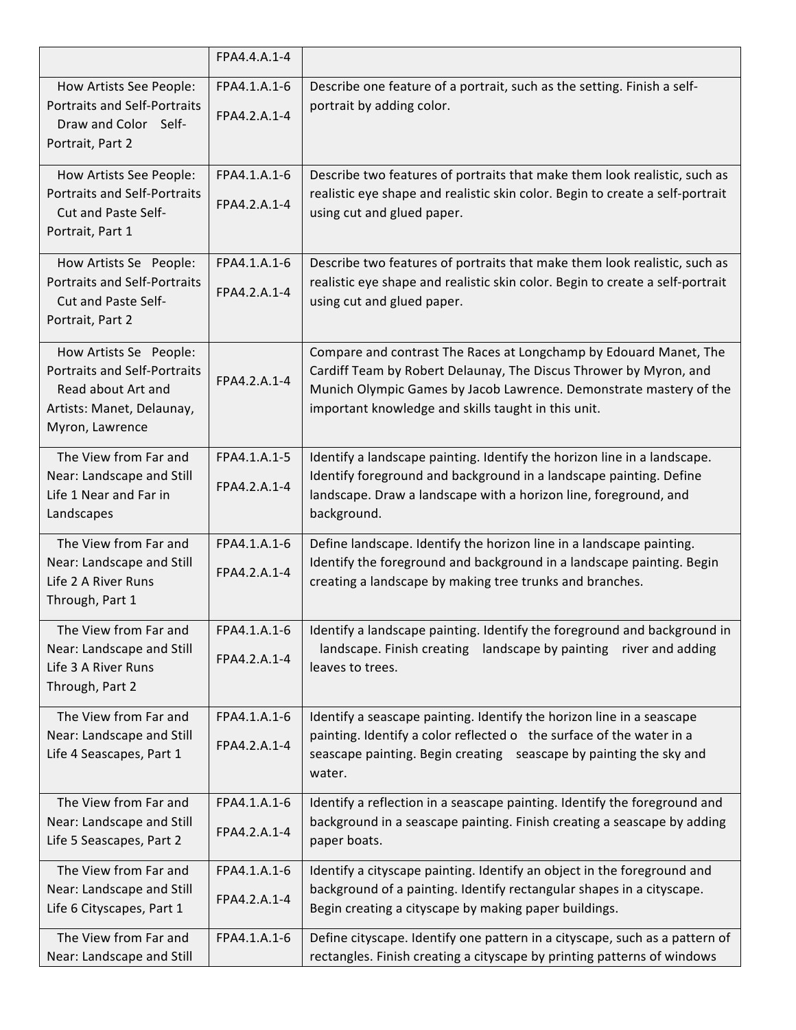|                                                                                                                                     | FPA4.4.A.1-4                 |                                                                                                                                                                                                                                                                     |
|-------------------------------------------------------------------------------------------------------------------------------------|------------------------------|---------------------------------------------------------------------------------------------------------------------------------------------------------------------------------------------------------------------------------------------------------------------|
| How Artists See People:<br><b>Portraits and Self-Portraits</b><br>Draw and Color Self-<br>Portrait, Part 2                          | FPA4.1.A.1-6<br>FPA4.2.A.1-4 | Describe one feature of a portrait, such as the setting. Finish a self-<br>portrait by adding color.                                                                                                                                                                |
| How Artists See People:<br><b>Portraits and Self-Portraits</b><br>Cut and Paste Self-<br>Portrait, Part 1                           | FPA4.1.A.1-6<br>FPA4.2.A.1-4 | Describe two features of portraits that make them look realistic, such as<br>realistic eye shape and realistic skin color. Begin to create a self-portrait<br>using cut and glued paper.                                                                            |
| How Artists Se People:<br><b>Portraits and Self-Portraits</b><br>Cut and Paste Self-<br>Portrait, Part 2                            | FPA4.1.A.1-6<br>FPA4.2.A.1-4 | Describe two features of portraits that make them look realistic, such as<br>realistic eye shape and realistic skin color. Begin to create a self-portrait<br>using cut and glued paper.                                                                            |
| How Artists Se People:<br><b>Portraits and Self-Portraits</b><br>Read about Art and<br>Artists: Manet, Delaunay,<br>Myron, Lawrence | FPA4.2.A.1-4                 | Compare and contrast The Races at Longchamp by Edouard Manet, The<br>Cardiff Team by Robert Delaunay, The Discus Thrower by Myron, and<br>Munich Olympic Games by Jacob Lawrence. Demonstrate mastery of the<br>important knowledge and skills taught in this unit. |
| The View from Far and<br>Near: Landscape and Still<br>Life 1 Near and Far in<br>Landscapes                                          | FPA4.1.A.1-5<br>FPA4.2.A.1-4 | Identify a landscape painting. Identify the horizon line in a landscape.<br>Identify foreground and background in a landscape painting. Define<br>landscape. Draw a landscape with a horizon line, foreground, and<br>background.                                   |
| The View from Far and<br>Near: Landscape and Still<br>Life 2 A River Runs<br>Through, Part 1                                        | FPA4.1.A.1-6<br>FPA4.2.A.1-4 | Define landscape. Identify the horizon line in a landscape painting.<br>Identify the foreground and background in a landscape painting. Begin<br>creating a landscape by making tree trunks and branches.                                                           |
| The View from Far and<br>Near: Landscape and Still<br>Life 3 A River Runs<br>Through, Part 2                                        | FPA4.2.A.1-4                 | FPA4.1.A.1-6 $\parallel$ Identify a landscape painting. Identify the foreground and background in<br>landscape. Finish creating landscape by painting river and adding<br>leaves to trees.                                                                          |
| The View from Far and<br>Near: Landscape and Still<br>Life 4 Seascapes, Part 1                                                      | FPA4.1.A.1-6<br>FPA4.2.A.1-4 | Identify a seascape painting. Identify the horizon line in a seascape<br>painting. Identify a color reflected o the surface of the water in a<br>seascape painting. Begin creating seascape by painting the sky and<br>water.                                       |
| The View from Far and<br>Near: Landscape and Still<br>Life 5 Seascapes, Part 2                                                      | FPA4.1.A.1-6<br>FPA4.2.A.1-4 | Identify a reflection in a seascape painting. Identify the foreground and<br>background in a seascape painting. Finish creating a seascape by adding<br>paper boats.                                                                                                |
| The View from Far and<br>Near: Landscape and Still<br>Life 6 Cityscapes, Part 1                                                     | FPA4.1.A.1-6<br>FPA4.2.A.1-4 | Identify a cityscape painting. Identify an object in the foreground and<br>background of a painting. Identify rectangular shapes in a cityscape.<br>Begin creating a cityscape by making paper buildings.                                                           |
| The View from Far and<br>Near: Landscape and Still                                                                                  | FPA4.1.A.1-6                 | Define cityscape. Identify one pattern in a cityscape, such as a pattern of<br>rectangles. Finish creating a cityscape by printing patterns of windows                                                                                                              |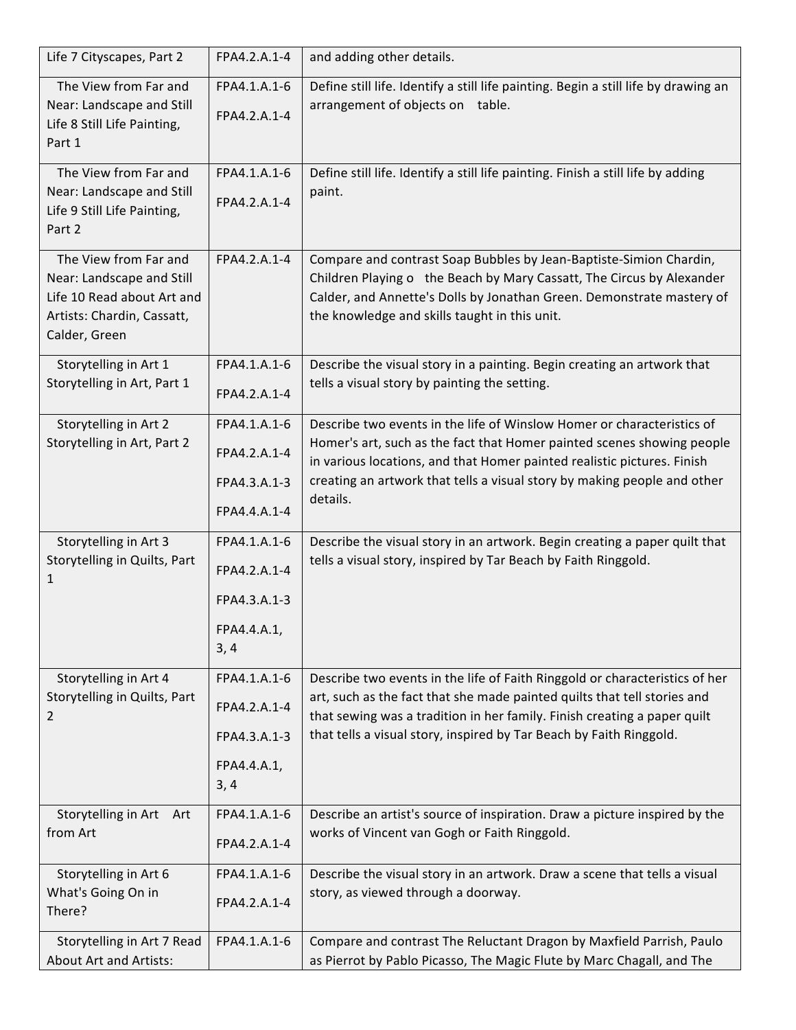| Life 7 Cityscapes, Part 2                                                                                                       | FPA4.2.A.1-4                 | and adding other details.                                                                                                                                                                                                                                             |
|---------------------------------------------------------------------------------------------------------------------------------|------------------------------|-----------------------------------------------------------------------------------------------------------------------------------------------------------------------------------------------------------------------------------------------------------------------|
| The View from Far and<br>Near: Landscape and Still<br>Life 8 Still Life Painting,<br>Part 1                                     | FPA4.1.A.1-6<br>FPA4.2.A.1-4 | Define still life. Identify a still life painting. Begin a still life by drawing an<br>arrangement of objects on table.                                                                                                                                               |
| The View from Far and<br>Near: Landscape and Still<br>Life 9 Still Life Painting,<br>Part 2                                     | FPA4.1.A.1-6<br>FPA4.2.A.1-4 | Define still life. Identify a still life painting. Finish a still life by adding<br>paint.                                                                                                                                                                            |
| The View from Far and<br>Near: Landscape and Still<br>Life 10 Read about Art and<br>Artists: Chardin, Cassatt,<br>Calder, Green | FPA4.2.A.1-4                 | Compare and contrast Soap Bubbles by Jean-Baptiste-Simion Chardin,<br>Children Playing o the Beach by Mary Cassatt, The Circus by Alexander<br>Calder, and Annette's Dolls by Jonathan Green. Demonstrate mastery of<br>the knowledge and skills taught in this unit. |
| Storytelling in Art 1<br>Storytelling in Art, Part 1                                                                            | FPA4.1.A.1-6<br>FPA4.2.A.1-4 | Describe the visual story in a painting. Begin creating an artwork that<br>tells a visual story by painting the setting.                                                                                                                                              |
| Storytelling in Art 2                                                                                                           | FPA4.1.A.1-6                 | Describe two events in the life of Winslow Homer or characteristics of                                                                                                                                                                                                |
| Storytelling in Art, Part 2                                                                                                     | FPA4.2.A.1-4                 | Homer's art, such as the fact that Homer painted scenes showing people<br>in various locations, and that Homer painted realistic pictures. Finish                                                                                                                     |
|                                                                                                                                 | FPA4.3.A.1-3                 | creating an artwork that tells a visual story by making people and other                                                                                                                                                                                              |
|                                                                                                                                 | FPA4.4.A.1-4                 | details.                                                                                                                                                                                                                                                              |
| Storytelling in Art 3                                                                                                           | FPA4.1.A.1-6                 | Describe the visual story in an artwork. Begin creating a paper quilt that                                                                                                                                                                                            |
| Storytelling in Quilts, Part<br>1                                                                                               | FPA4.2.A.1-4                 | tells a visual story, inspired by Tar Beach by Faith Ringgold.                                                                                                                                                                                                        |
|                                                                                                                                 | FPA4.3.A.1-3                 |                                                                                                                                                                                                                                                                       |
|                                                                                                                                 | FPA4.4.A.1,                  |                                                                                                                                                                                                                                                                       |
|                                                                                                                                 | 3, 4                         |                                                                                                                                                                                                                                                                       |
| Storytelling in Art 4                                                                                                           | FPA4.1.A.1-6                 | Describe two events in the life of Faith Ringgold or characteristics of her                                                                                                                                                                                           |
| Storytelling in Quilts, Part<br>2                                                                                               | FPA4.2.A.1-4                 | art, such as the fact that she made painted quilts that tell stories and<br>that sewing was a tradition in her family. Finish creating a paper quilt                                                                                                                  |
|                                                                                                                                 | FPA4.3.A.1-3                 | that tells a visual story, inspired by Tar Beach by Faith Ringgold.                                                                                                                                                                                                   |
|                                                                                                                                 | FPA4.4.A.1,                  |                                                                                                                                                                                                                                                                       |
|                                                                                                                                 | 3, 4                         |                                                                                                                                                                                                                                                                       |
| Storytelling in Art Art                                                                                                         | FPA4.1.A.1-6                 | Describe an artist's source of inspiration. Draw a picture inspired by the                                                                                                                                                                                            |
| from Art                                                                                                                        | FPA4.2.A.1-4                 | works of Vincent van Gogh or Faith Ringgold.                                                                                                                                                                                                                          |
| Storytelling in Art 6                                                                                                           | FPA4.1.A.1-6                 | Describe the visual story in an artwork. Draw a scene that tells a visual                                                                                                                                                                                             |
| What's Going On in<br>There?                                                                                                    | FPA4.2.A.1-4                 | story, as viewed through a doorway.                                                                                                                                                                                                                                   |
| Storytelling in Art 7 Read<br><b>About Art and Artists:</b>                                                                     | FPA4.1.A.1-6                 | Compare and contrast The Reluctant Dragon by Maxfield Parrish, Paulo<br>as Pierrot by Pablo Picasso, The Magic Flute by Marc Chagall, and The                                                                                                                         |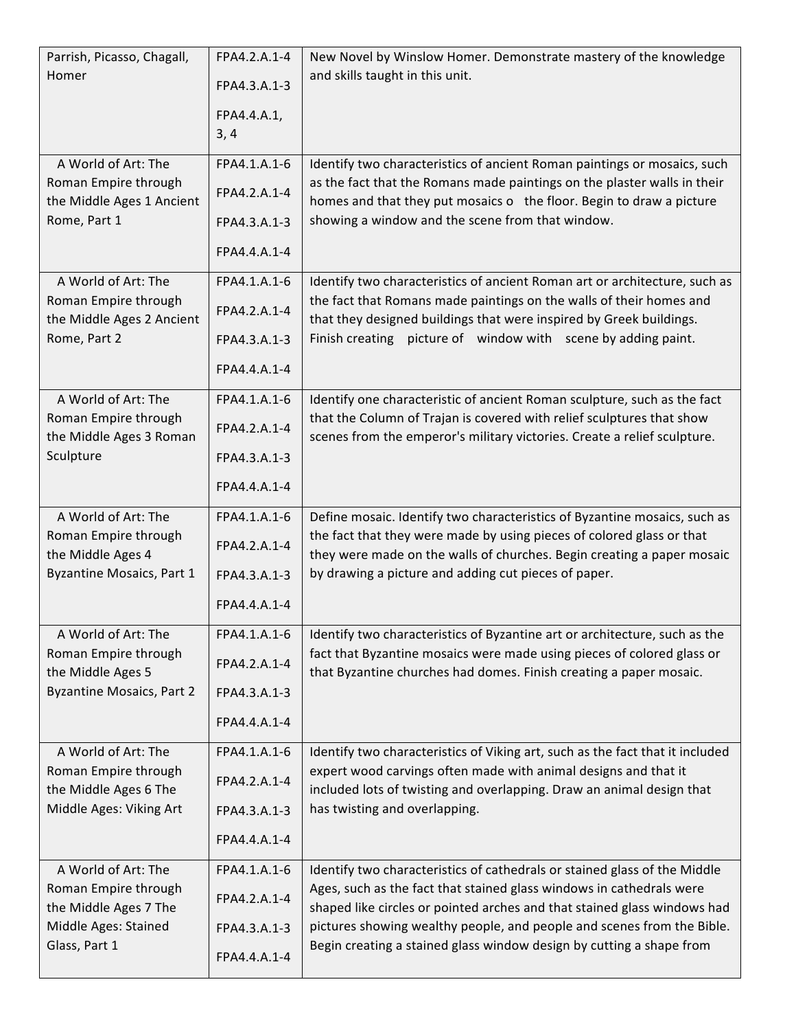| Parrish, Picasso, Chagall,<br>Homer                                                                           | FPA4.2.A.1-4<br>FPA4.3.A.1-3<br>FPA4.4.A.1,<br>3, 4          | New Novel by Winslow Homer. Demonstrate mastery of the knowledge<br>and skills taught in this unit.                                                                                                                                                                                                                                                                             |
|---------------------------------------------------------------------------------------------------------------|--------------------------------------------------------------|---------------------------------------------------------------------------------------------------------------------------------------------------------------------------------------------------------------------------------------------------------------------------------------------------------------------------------------------------------------------------------|
| A World of Art: The                                                                                           | FPA4.1.A.1-6                                                 | Identify two characteristics of ancient Roman paintings or mosaics, such                                                                                                                                                                                                                                                                                                        |
| Roman Empire through                                                                                          | FPA4.2.A.1-4                                                 | as the fact that the Romans made paintings on the plaster walls in their                                                                                                                                                                                                                                                                                                        |
| the Middle Ages 1 Ancient                                                                                     | FPA4.3.A.1-3                                                 | homes and that they put mosaics o the floor. Begin to draw a picture                                                                                                                                                                                                                                                                                                            |
| Rome, Part 1                                                                                                  | FPA4.4.A.1-4                                                 | showing a window and the scene from that window.                                                                                                                                                                                                                                                                                                                                |
| A World of Art: The                                                                                           | FPA4.1.A.1-6                                                 | Identify two characteristics of ancient Roman art or architecture, such as                                                                                                                                                                                                                                                                                                      |
| Roman Empire through                                                                                          | FPA4.2.A.1-4                                                 | the fact that Romans made paintings on the walls of their homes and                                                                                                                                                                                                                                                                                                             |
| the Middle Ages 2 Ancient                                                                                     | FPA4.3.A.1-3                                                 | that they designed buildings that were inspired by Greek buildings.                                                                                                                                                                                                                                                                                                             |
| Rome, Part 2                                                                                                  | FPA4.4.A.1-4                                                 | Finish creating picture of window with scene by adding paint.                                                                                                                                                                                                                                                                                                                   |
| A World of Art: The<br>Roman Empire through<br>the Middle Ages 3 Roman<br>Sculpture                           | FPA4.1.A.1-6<br>FPA4.2.A.1-4<br>FPA4.3.A.1-3<br>FPA4.4.A.1-4 | Identify one characteristic of ancient Roman sculpture, such as the fact<br>that the Column of Trajan is covered with relief sculptures that show<br>scenes from the emperor's military victories. Create a relief sculpture.                                                                                                                                                   |
| A World of Art: The                                                                                           | FPA4.1.A.1-6                                                 | Define mosaic. Identify two characteristics of Byzantine mosaics, such as                                                                                                                                                                                                                                                                                                       |
| Roman Empire through                                                                                          | FPA4.2.A.1-4                                                 | the fact that they were made by using pieces of colored glass or that                                                                                                                                                                                                                                                                                                           |
| the Middle Ages 4                                                                                             | FPA4.3.A.1-3                                                 | they were made on the walls of churches. Begin creating a paper mosaic                                                                                                                                                                                                                                                                                                          |
| Byzantine Mosaics, Part 1                                                                                     | FPA4.4.A.1-4                                                 | by drawing a picture and adding cut pieces of paper.                                                                                                                                                                                                                                                                                                                            |
| A World of Art: The<br>Roman Empire through<br>the Middle Ages 5<br><b>Byzantine Mosaics, Part 2</b>          | FPA4.1.A.1-6<br>FPA4.2.A.1-4<br>FPA4.3.A.1-3<br>FPA4.4.A.1-4 | Identify two characteristics of Byzantine art or architecture, such as the<br>fact that Byzantine mosaics were made using pieces of colored glass or<br>that Byzantine churches had domes. Finish creating a paper mosaic.                                                                                                                                                      |
| A World of Art: The                                                                                           | FPA4.1.A.1-6                                                 | Identify two characteristics of Viking art, such as the fact that it included                                                                                                                                                                                                                                                                                                   |
| Roman Empire through                                                                                          | FPA4.2.A.1-4                                                 | expert wood carvings often made with animal designs and that it                                                                                                                                                                                                                                                                                                                 |
| the Middle Ages 6 The                                                                                         | FPA4.3.A.1-3                                                 | included lots of twisting and overlapping. Draw an animal design that                                                                                                                                                                                                                                                                                                           |
| Middle Ages: Viking Art                                                                                       | FPA4.4.A.1-4                                                 | has twisting and overlapping.                                                                                                                                                                                                                                                                                                                                                   |
| A World of Art: The<br>Roman Empire through<br>the Middle Ages 7 The<br>Middle Ages: Stained<br>Glass, Part 1 | FPA4.1.A.1-6<br>FPA4.2.A.1-4<br>FPA4.3.A.1-3<br>FPA4.4.A.1-4 | Identify two characteristics of cathedrals or stained glass of the Middle<br>Ages, such as the fact that stained glass windows in cathedrals were<br>shaped like circles or pointed arches and that stained glass windows had<br>pictures showing wealthy people, and people and scenes from the Bible.<br>Begin creating a stained glass window design by cutting a shape from |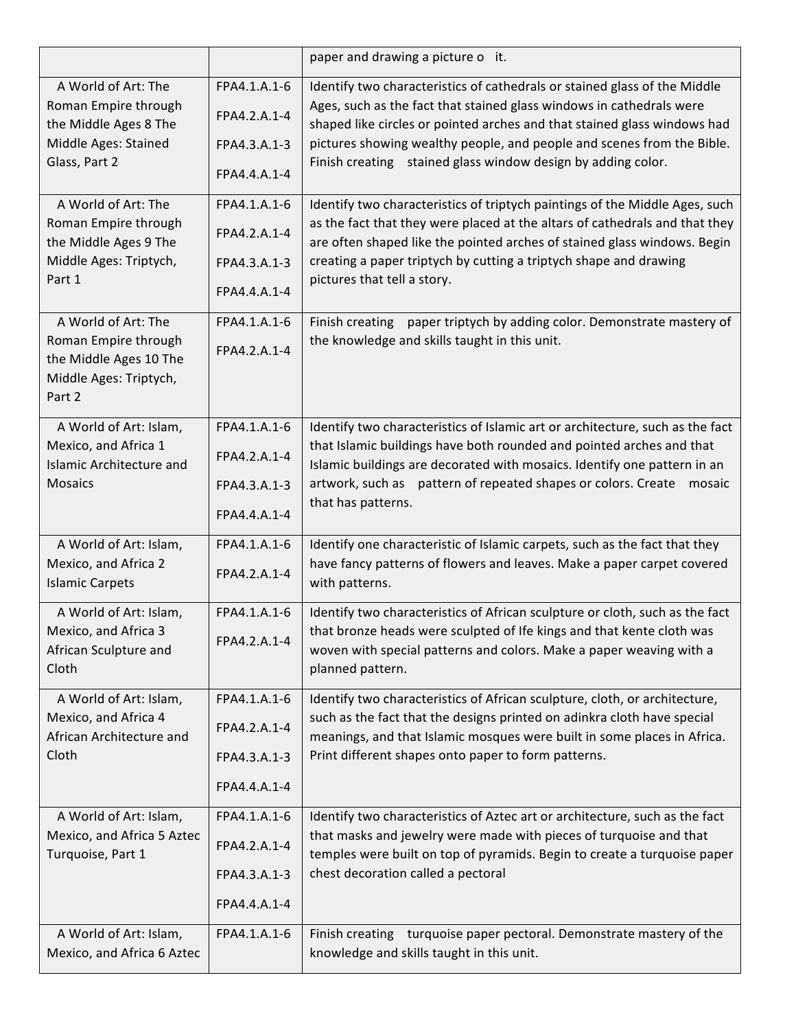|                                                                                                           |                                                              | paper and drawing a picture o it.                                                                                                                                                                                                                                                                                                          |
|-----------------------------------------------------------------------------------------------------------|--------------------------------------------------------------|--------------------------------------------------------------------------------------------------------------------------------------------------------------------------------------------------------------------------------------------------------------------------------------------------------------------------------------------|
| A World of Art: The<br>Roman Empire through<br>the Middle Ages 8 The                                      | FPA4.1.A.1-6<br>FPA4.2.A.1-4                                 | Identify two characteristics of cathedrals or stained glass of the Middle<br>Ages, such as the fact that stained glass windows in cathedrals were<br>shaped like circles or pointed arches and that stained glass windows had<br>pictures showing wealthy people, and people and scenes from the Bible.                                    |
| Middle Ages: Stained<br>Glass, Part 2                                                                     | FPA4.3.A.1-3<br>FPA4.4.A.1-4                                 | Finish creating stained glass window design by adding color.                                                                                                                                                                                                                                                                               |
| A World of Art: The<br>Roman Empire through<br>the Middle Ages 9 The<br>Middle Ages: Triptych,<br>Part 1  | FPA4.1.A.1-6<br>FPA4.2.A.1-4<br>FPA4.3.A.1-3<br>FPA4.4.A.1-4 | Identify two characteristics of triptych paintings of the Middle Ages, such<br>as the fact that they were placed at the altars of cathedrals and that they<br>are often shaped like the pointed arches of stained glass windows. Begin<br>creating a paper triptych by cutting a triptych shape and drawing<br>pictures that tell a story. |
| A World of Art: The<br>Roman Empire through<br>the Middle Ages 10 The<br>Middle Ages: Triptych,<br>Part 2 | FPA4.1.A.1-6<br>FPA4.2.A.1-4                                 | Finish creating paper triptych by adding color. Demonstrate mastery of<br>the knowledge and skills taught in this unit.                                                                                                                                                                                                                    |
| A World of Art: Islam,<br>Mexico, and Africa 1<br><b>Islamic Architecture and</b><br><b>Mosaics</b>       | FPA4.1.A.1-6<br>FPA4.2.A.1-4<br>FPA4.3.A.1-3<br>FPA4.4.A.1-4 | Identify two characteristics of Islamic art or architecture, such as the fact<br>that Islamic buildings have both rounded and pointed arches and that<br>Islamic buildings are decorated with mosaics. Identify one pattern in an<br>artwork, such as pattern of repeated shapes or colors. Create<br>mosaic<br>that has patterns.         |
| A World of Art: Islam,<br>Mexico, and Africa 2<br><b>Islamic Carpets</b>                                  | FPA4.1.A.1-6<br>FPA4.2.A.1-4                                 | Identify one characteristic of Islamic carpets, such as the fact that they<br>have fancy patterns of flowers and leaves. Make a paper carpet covered<br>with patterns.                                                                                                                                                                     |
| A World of Art: Islam,<br>Mexico, and Africa 3<br>African Sculpture and<br>Cloth                          | FPA4.1.A.1-6<br>FPA4.2.A.1-4                                 | Identify two characteristics of African sculpture or cloth, such as the fact<br>that bronze heads were sculpted of Ife kings and that kente cloth was<br>woven with special patterns and colors. Make a paper weaving with a<br>planned pattern.                                                                                           |
| A World of Art: Islam,<br>Mexico, and Africa 4<br>African Architecture and<br>Cloth                       | FPA4.1.A.1-6<br>FPA4.2.A.1-4<br>FPA4.3.A.1-3<br>FPA4.4.A.1-4 | Identify two characteristics of African sculpture, cloth, or architecture,<br>such as the fact that the designs printed on adinkra cloth have special<br>meanings, and that Islamic mosques were built in some places in Africa.<br>Print different shapes onto paper to form patterns.                                                    |
| A World of Art: Islam,<br>Mexico, and Africa 5 Aztec<br>Turquoise, Part 1                                 | FPA4.1.A.1-6<br>FPA4.2.A.1-4<br>FPA4.3.A.1-3<br>FPA4.4.A.1-4 | Identify two characteristics of Aztec art or architecture, such as the fact<br>that masks and jewelry were made with pieces of turquoise and that<br>temples were built on top of pyramids. Begin to create a turquoise paper<br>chest decoration called a pectoral                                                                        |
| A World of Art: Islam,<br>Mexico, and Africa 6 Aztec                                                      | FPA4.1.A.1-6                                                 | Finish creating turquoise paper pectoral. Demonstrate mastery of the<br>knowledge and skills taught in this unit.                                                                                                                                                                                                                          |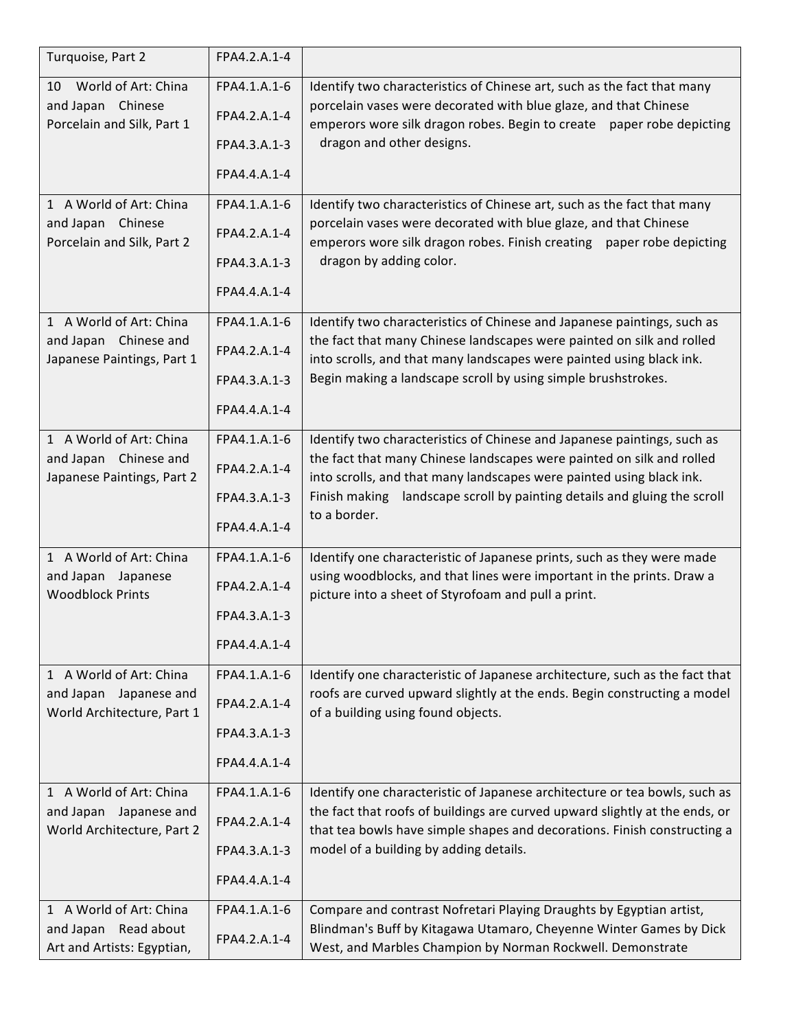| Turquoise, Part 2                                    | FPA4.2.A.1-4 |                                                                                                                                                         |
|------------------------------------------------------|--------------|---------------------------------------------------------------------------------------------------------------------------------------------------------|
| World of Art: China<br>10                            | FPA4.1.A.1-6 | Identify two characteristics of Chinese art, such as the fact that many                                                                                 |
| and Japan Chinese<br>Porcelain and Silk, Part 1      | FPA4.2.A.1-4 | porcelain vases were decorated with blue glaze, and that Chinese<br>emperors wore silk dragon robes. Begin to create paper robe depicting               |
|                                                      | FPA4.3.A.1-3 | dragon and other designs.                                                                                                                               |
|                                                      | FPA4.4.A.1-4 |                                                                                                                                                         |
| 1 A World of Art: China                              | FPA4.1.A.1-6 | Identify two characteristics of Chinese art, such as the fact that many                                                                                 |
| and Japan Chinese<br>Porcelain and Silk, Part 2      | FPA4.2.A.1-4 | porcelain vases were decorated with blue glaze, and that Chinese<br>emperors wore silk dragon robes. Finish creating paper robe depicting               |
|                                                      | FPA4.3.A.1-3 | dragon by adding color.                                                                                                                                 |
|                                                      | FPA4.4.A.1-4 |                                                                                                                                                         |
| 1 A World of Art: China                              | FPA4.1.A.1-6 | Identify two characteristics of Chinese and Japanese paintings, such as                                                                                 |
| and Japan Chinese and<br>Japanese Paintings, Part 1  | FPA4.2.A.1-4 | the fact that many Chinese landscapes were painted on silk and rolled<br>into scrolls, and that many landscapes were painted using black ink.           |
|                                                      | FPA4.3.A.1-3 | Begin making a landscape scroll by using simple brushstrokes.                                                                                           |
|                                                      | FPA4.4.A.1-4 |                                                                                                                                                         |
| 1 A World of Art: China                              | FPA4.1.A.1-6 | Identify two characteristics of Chinese and Japanese paintings, such as                                                                                 |
| and Japan Chinese and<br>Japanese Paintings, Part 2  | FPA4.2.A.1-4 | the fact that many Chinese landscapes were painted on silk and rolled<br>into scrolls, and that many landscapes were painted using black ink.           |
|                                                      | FPA4.3.A.1-3 | Finish making landscape scroll by painting details and gluing the scroll                                                                                |
|                                                      | FPA4.4.A.1-4 | to a border.                                                                                                                                            |
| 1 A World of Art: China                              | FPA4.1.A.1-6 | Identify one characteristic of Japanese prints, such as they were made                                                                                  |
| and Japan Japanese<br><b>Woodblock Prints</b>        | FPA4.2.A.1-4 | using woodblocks, and that lines were important in the prints. Draw a<br>picture into a sheet of Styrofoam and pull a print.                            |
|                                                      | FPA4.3.A.1-3 |                                                                                                                                                         |
|                                                      | FPA4.4.A.1-4 |                                                                                                                                                         |
| 1 A World of Art: China                              | FPA4.1.A.1-6 | Identify one characteristic of Japanese architecture, such as the fact that                                                                             |
| and Japan Japanese and<br>World Architecture, Part 1 | FPA4.2.A.1-4 | roofs are curved upward slightly at the ends. Begin constructing a model<br>of a building using found objects.                                          |
|                                                      | FPA4.3.A.1-3 |                                                                                                                                                         |
|                                                      | FPA4.4.A.1-4 |                                                                                                                                                         |
| 1 A World of Art: China                              | FPA4.1.A.1-6 | Identify one characteristic of Japanese architecture or tea bowls, such as                                                                              |
| and Japan Japanese and<br>World Architecture, Part 2 | FPA4.2.A.1-4 | the fact that roofs of buildings are curved upward slightly at the ends, or<br>that tea bowls have simple shapes and decorations. Finish constructing a |
|                                                      | FPA4.3.A.1-3 | model of a building by adding details.                                                                                                                  |
|                                                      | FPA4.4.A.1-4 |                                                                                                                                                         |
| 1 A World of Art: China                              | FPA4.1.A.1-6 | Compare and contrast Nofretari Playing Draughts by Egyptian artist,                                                                                     |
| and Japan Read about<br>Art and Artists: Egyptian,   | FPA4.2.A.1-4 | Blindman's Buff by Kitagawa Utamaro, Cheyenne Winter Games by Dick<br>West, and Marbles Champion by Norman Rockwell. Demonstrate                        |